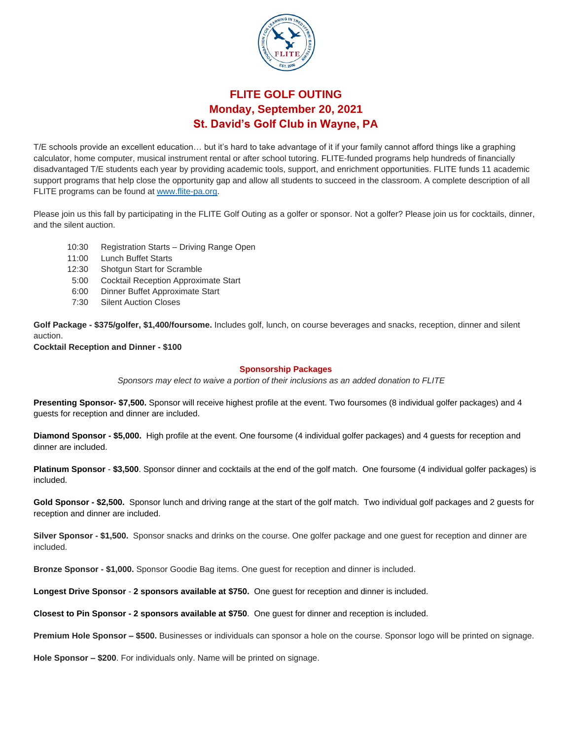

## **FLITE GOLF OUTING Monday, September 20, 2021 St. David's Golf Club in Wayne, PA**

T/E schools provide an excellent education… but it's hard to take advantage of it if your family cannot afford things like a graphing calculator, home computer, musical instrument rental or after school tutoring. FLITE-funded programs help hundreds of financially disadvantaged T/E students each year by providing academic tools, support, and enrichment opportunities. FLITE funds 11 academic support programs that help close the opportunity gap and allow all students to succeed in the classroom. A complete description of all FLITE programs can be found at [www.flite-pa.org.](http://www.flite-pa.org/)

Please join us this fall by participating in the FLITE Golf Outing as a golfer or sponsor. Not a golfer? Please join us for cocktails, dinner, and the silent auction.

- 10:30 Registration Starts Driving Range Open
- 11:00 Lunch Buffet Starts
- 12:30 Shotgun Start for Scramble
- 5:00 Cocktail Reception Approximate Start
- 6:00 Dinner Buffet Approximate Start
- 7:30 Silent Auction Closes

**Golf Package - \$375/golfer, \$1,400/foursome.** Includes golf, lunch, on course beverages and snacks, reception, dinner and silent auction.

**Cocktail Reception and Dinner - \$100**

#### **Sponsorship Packages**

*Sponsors may elect to waive a portion of their inclusions as an added donation to FLITE*

**Presenting Sponsor- \$7,500.** Sponsor will receive highest profile at the event. Two foursomes (8 individual golfer packages) and 4 guests for reception and dinner are included.

**Diamond Sponsor - \$5,000.** High profile at the event. One foursome (4 individual golfer packages) and 4 guests for reception and dinner are included.

**Platinum Sponsor** - **\$3,500**. Sponsor dinner and cocktails at the end of the golf match. One foursome (4 individual golfer packages) is included.

**Gold Sponsor - \$2,500.** Sponsor lunch and driving range at the start of the golf match. Two individual golf packages and 2 guests for reception and dinner are included.

**Silver Sponsor - \$1,500.** Sponsor snacks and drinks on the course. One golfer package and one guest for reception and dinner are included.

**Bronze Sponsor - \$1,000.** Sponsor Goodie Bag items. One guest for reception and dinner is included.

**Longest Drive Sponsor** - **2 sponsors available at \$750.** One guest for reception and dinner is included.

**Closest to Pin Sponsor - 2 sponsors available at \$750**. One guest for dinner and reception is included.

**Premium Hole Sponsor – \$500.** Businesses or individuals can sponsor a hole on the course. Sponsor logo will be printed on signage.

**Hole Sponsor – \$200**. For individuals only. Name will be printed on signage.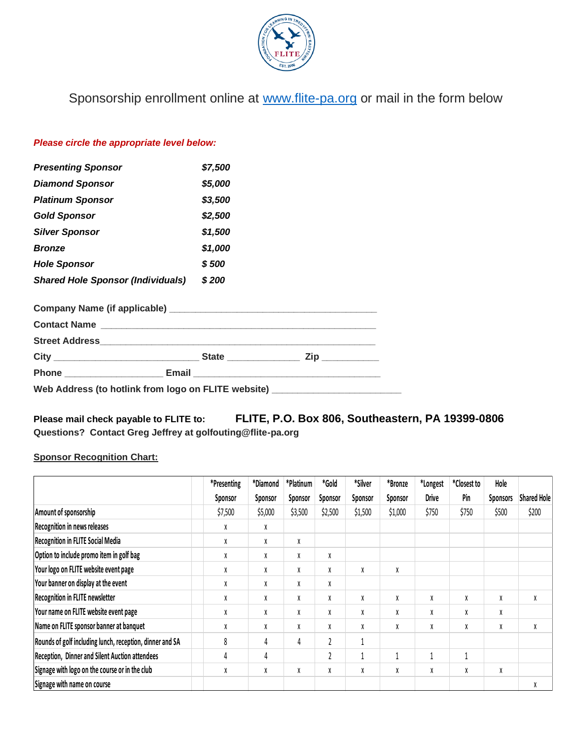

Sponsorship enrollment online at [www.flite-pa.org](http://www.flite-pa.org/) or mail in the form below

### *Please circle the appropriate level below:*

| <b>Presenting Sponsor</b>                                                   | \$7,500 |  |
|-----------------------------------------------------------------------------|---------|--|
| <b>Diamond Sponsor</b>                                                      | \$5,000 |  |
| <b>Platinum Sponsor</b>                                                     | \$3,500 |  |
| <b>Gold Sponsor</b>                                                         | \$2,500 |  |
| <b>Silver Sponsor</b>                                                       | \$1,500 |  |
| <b>Bronze</b>                                                               | \$1,000 |  |
| <b>Hole Sponsor</b>                                                         | \$500   |  |
| <b>Shared Hole Sponsor (Individuals)</b>                                    | \$200   |  |
|                                                                             |         |  |
|                                                                             |         |  |
|                                                                             |         |  |
|                                                                             |         |  |
|                                                                             |         |  |
| Web Address (to hotlink from logo on FLITE website) _______________________ |         |  |

**Please mail check payable to FLITE to: FLITE, P.O. Box 806, Southeastern, PA 19399-0806 Questions? Contact Greg Jeffrey at golfouting@flite-pa.org**

### **Sponsor Recognition Chart:**

|                                                          | *Presenting | *Diamond | *Platinum | *Gold          | *Silver | *Bronze | *Longest     | *Closest to | Hole            |                    |
|----------------------------------------------------------|-------------|----------|-----------|----------------|---------|---------|--------------|-------------|-----------------|--------------------|
|                                                          | Sponsor     | Sponsor  | Sponsor   | Sponsor        | Sponsor | Sponsor | <b>Drive</b> | Pin         | <b>Sponsors</b> | <b>Shared Hole</b> |
| Amount of sponsorship                                    | \$7,500     | \$5,000  | \$3,500   | \$2,500        | \$1,500 | \$1,000 | \$750        | \$750       | \$500           | \$200              |
| Recognition in news releases                             | X           | X        |           |                |         |         |              |             |                 |                    |
| <b>Recognition in FLITE Social Media</b>                 | X           | X        | χ         |                |         |         |              |             |                 |                    |
| Option to include promo item in golf bag                 | X           | X        | χ         | X              |         |         |              |             |                 |                    |
| Your logo on FLITE website event page                    | X           | χ        | χ         | X              | X       | χ       |              |             |                 |                    |
| Your banner on display at the event                      | X           | X        | χ         | X              |         |         |              |             |                 |                    |
| <b>Recognition in FLITE newsletter</b>                   | X           | X        | χ         | X              | X       | X       | χ            | χ           | X               | X                  |
| Your name on FLITE website event page                    | X           | X        | χ         | X              | X       | X       | χ            | χ           | X               |                    |
| Name on FLITE sponsor banner at banquet                  | X           | X        | X         | X              | X       | X       | χ            | χ           | X               | X                  |
| Rounds of golf including lunch, reception, dinner and SA | 8           | 4        | 4         |                |         |         |              |             |                 |                    |
| <b>Reception, Dinner and Silent Auction attendees</b>    | 4           | 4        |           | $\overline{2}$ |         |         |              | 1           |                 |                    |
| Signage with logo on the course or in the club           | X           | X        | χ         | X              | X       | X       | χ            | χ           | X               |                    |
| Signage with name on course                              |             |          |           |                |         |         |              |             |                 | X                  |